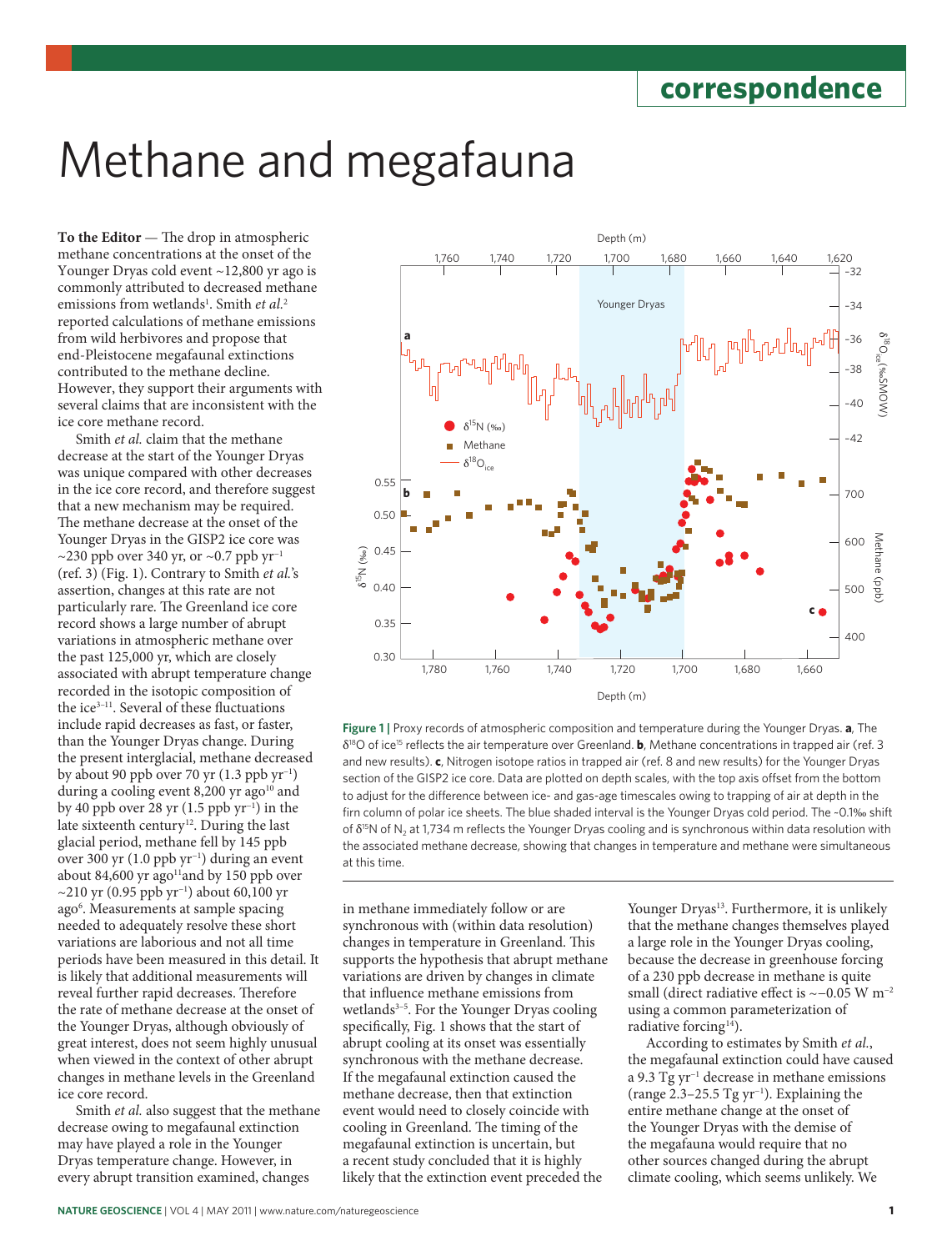# Methane and megafauna

**To the Editor** — The drop in atmospheric methane concentrations at the onset of the Younger Dryas cold event ~12,800 yr ago is commonly attributed to decreased methane emissions from wetlands<sup>1</sup>. Smith *et al.*<sup>2</sup> reported calculations of methane emissions from wild herbivores and propose that end-Pleistocene megafaunal extinctions contributed to the methane decline. However, they support their arguments with several claims that are inconsistent with the ice core methane record.

Smith *et al.* claim that the methane decrease at the start of the Younger Dryas was unique compared with other decreases in the ice core record, and therefore suggest that a new mechanism may be required. The methane decrease at the onset of the Younger Dryas in the GISP2 ice core was ~230 ppb over 340 yr, or ~0.7 ppb  $yr^{-1}$ (ref. 3) (Fig. 1). Contrary to Smith *et al.*'s assertion, changes at this rate are not particularly rare. The Greenland ice core record shows a large number of abrupt variations in atmospheric methane over the past 125,000 yr, which are closely associated with abrupt temperature change recorded in the isotopic composition of the ice3–11. Several of these fluctuations include rapid decreases as fast, or faster, than the Younger Dryas change. During the present interglacial, methane decreased by about 90 ppb over 70 yr (1.3 ppb yr−1) during a cooling event  $8,200$  yr ago<sup>10</sup> and by 40 ppb over 28 yr (1.5 ppb yr−1) in the late sixteenth century<sup>12</sup>. During the last glacial period, methane fell by 145 ppb over 300 yr (1.0 ppb yr−1) during an event about 84,600 yr ago<sup>11</sup> and by 150 ppb over ~210 yr (0.95 ppb yr−1) about 60,100 yr ago<sup>6</sup>. Measurements at sample spacing needed to adequately resolve these short variations are laborious and not all time periods have been measured in this detail. It is likely that additional measurements will reveal further rapid decreases. Therefore the rate of methane decrease at the onset of the Younger Dryas, although obviously of great interest, does not seem highly unusual when viewed in the context of other abrupt changes in methane levels in the Greenland ice core record.

Smith *et al.* also suggest that the methane decrease owing to megafaunal extinction may have played a role in the Younger Dryas temperature change. However, in every abrupt transition examined, changes



**Figure 1 |** Proxy records of atmospheric composition and temperature during the Younger Dryas. **a**, The δ18O of ice15 reflects the air temperature over Greenland. **b**, Methane concentrations in trapped air (ref. 3 and new results). **c**, Nitrogen isotope ratios in trapped air (ref. 8 and new results) for the Younger Dryas section of the GISP2 ice core. Data are plotted on depth scales, with the top axis offset from the bottom to adjust for the difference between ice- and gas-age timescales owing to trapping of air at depth in the firn column of polar ice sheets. The blue shaded interval is the Younger Dryas cold period. The ~0.1‰ shift of δ<sup>15</sup>N of N<sub>2</sub> at 1,734 m reflects the Younger Dryas cooling and is synchronous within data resolution with the associated methane decrease, showing that changes in temperature and methane were simultaneous at this time.

in methane immediately follow or are synchronous with (within data resolution) changes in temperature in Greenland. This supports the hypothesis that abrupt methane variations are driven by changes in climate that influence methane emissions from wetlands<sup>3-5</sup>. For the Younger Dryas cooling specifically, Fig. 1 shows that the start of abrupt cooling at its onset was essentially synchronous with the methane decrease. If the megafaunal extinction caused the methane decrease, then that extinction event would need to closely coincide with cooling in Greenland. The timing of the megafaunal extinction is uncertain, but a recent study concluded that it is highly likely that the extinction event preceded the

Younger Dryas<sup>13</sup>. Furthermore, it is unlikely that the methane changes themselves played a large role in the Younger Dryas cooling, because the decrease in greenhouse forcing of a 230 ppb decrease in methane is quite small (direct radiative effect is ~−0.05 W m<sup>-2</sup> using a common parameterization of radiative forcing<sup>14</sup>).

According to estimates by Smith *et al.*, the megafaunal extinction could have caused a 9.3 Tg yr−1 decrease in methane emissions (range 2.3–25.5 Tg yr−1). Explaining the entire methane change at the onset of the Younger Dryas with the demise of the megafauna would require that no other sources changed during the abrupt climate cooling, which seems unlikely. We